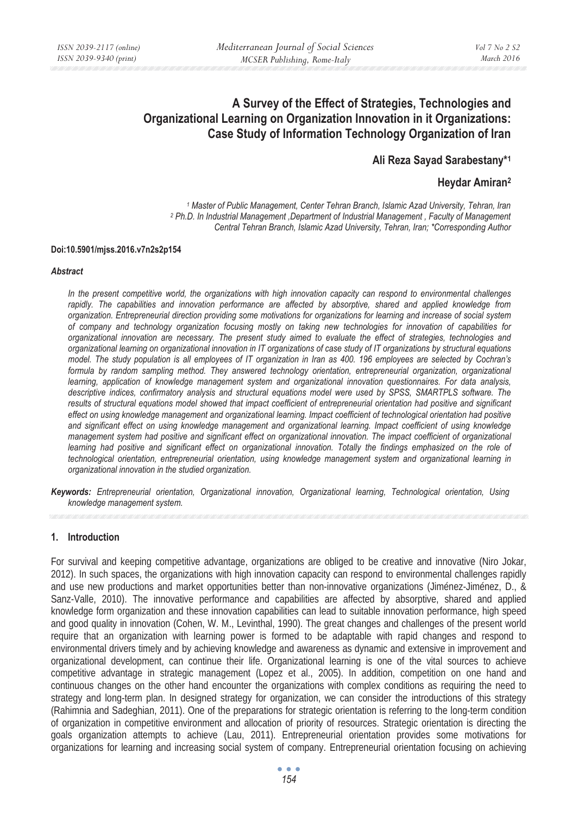# **A Survey of the Effect of Strategies, Technologies and Organizational Learning on Organization Innovation in it Organizations: Case Study of Information Technology Organization of Iran**

# **Ali Reza Sayad Sarabestany\*1**

# **Heydar Amiran2**

*1 Master of Public Management, Center Tehran Branch, Islamic Azad University, Tehran, Iran 2 Ph.D. In Industrial Management ,Department of Industrial Management , Faculty of Management Central Tehran Branch, Islamic Azad University, Tehran, Iran; \*Corresponding Author* 

#### **Doi:10.5901/mjss.2016.v7n2s2p154**

#### *Abstract*

*In the present competitive world, the organizations with high innovation capacity can respond to environmental challenges*  rapidly. The capabilities and innovation performance are affected by absorptive, shared and applied knowledge from *organization. Entrepreneurial direction providing some motivations for organizations for learning and increase of social system of company and technology organization focusing mostly on taking new technologies for innovation of capabilities for organizational innovation are necessary. The present study aimed to evaluate the effect of strategies, technologies and organizational learning on organizational innovation in IT organizations of case study of IT organizations by structural equations model. The study population is all employees of IT organization in Iran as 400. 196 employees are selected by Cochran's formula by random sampling method. They answered technology orientation, entrepreneurial organization, organizational*  learning, application of knowledge management system and organizational innovation questionnaires. For data analysis, *descriptive indices, confirmatory analysis and structural equations model were used by SPSS, SMARTPLS software. The*  results of structural equations model showed that impact coefficient of entrepreneurial orientation had positive and significant effect on using knowledge management and organizational learning. Impact coefficient of technological orientation had positive *and significant effect on using knowledge management and organizational learning. Impact coefficient of using knowledge management system had positive and significant effect on organizational innovation. The impact coefficient of organizational*  learning had positive and significant effect on organizational innovation. Totally the findings emphasized on the role of *technological orientation, entrepreneurial orientation, using knowledge management system and organizational learning in organizational innovation in the studied organization.* 

*Keywords: Entrepreneurial orientation, Organizational innovation, Organizational learning, Technological orientation, Using knowledge management system.* 

#### **1. Introduction**

For survival and keeping competitive advantage, organizations are obliged to be creative and innovative (Niro Jokar, 2012). In such spaces, the organizations with high innovation capacity can respond to environmental challenges rapidly and use new productions and market opportunities better than non-innovative organizations (Jiménez-Jiménez, D., & Sanz-Valle, 2010). The innovative performance and capabilities are affected by absorptive, shared and applied knowledge form organization and these innovation capabilities can lead to suitable innovation performance, high speed and good quality in innovation (Cohen, W. M., Levinthal, 1990). The great changes and challenges of the present world require that an organization with learning power is formed to be adaptable with rapid changes and respond to environmental drivers timely and by achieving knowledge and awareness as dynamic and extensive in improvement and organizational development, can continue their life. Organizational learning is one of the vital sources to achieve competitive advantage in strategic management (Lopez et al., 2005). In addition, competition on one hand and continuous changes on the other hand encounter the organizations with complex conditions as requiring the need to strategy and long-term plan. In designed strategy for organization, we can consider the introductions of this strategy (Rahimnia and Sadeghian, 2011). One of the preparations for strategic orientation is referring to the long-term condition of organization in competitive environment and allocation of priority of resources. Strategic orientation is directing the goals organization attempts to achieve (Lau, 2011). Entrepreneurial orientation provides some motivations for organizations for learning and increasing social system of company. Entrepreneurial orientation focusing on achieving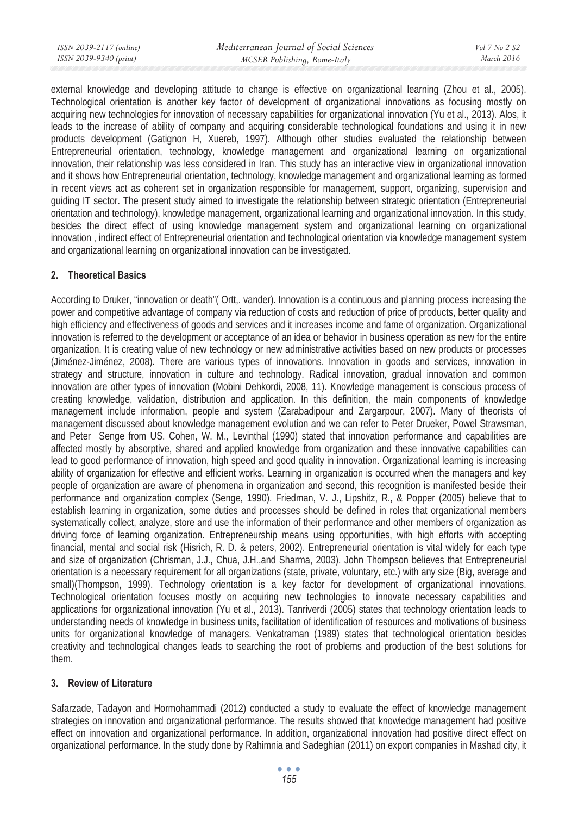| ISSN 2039-2117 (online) | Mediterranean Journal of Social Sciences | Vol 7 No 2 $S$ 2 |
|-------------------------|------------------------------------------|------------------|
| ISSN 2039-9340 (print)  | MCSER Publishing, Rome-Italy             | March 2016       |
|                         |                                          |                  |

external knowledge and developing attitude to change is effective on organizational learning (Zhou et al., 2005). Technological orientation is another key factor of development of organizational innovations as focusing mostly on acquiring new technologies for innovation of necessary capabilities for organizational innovation (Yu et al., 2013). Alos, it leads to the increase of ability of company and acquiring considerable technological foundations and using it in new products development (Gatignon H, Xuereb, 1997). Although other studies evaluated the relationship between Entrepreneurial orientation, technology, knowledge management and organizational learning on organizational innovation, their relationship was less considered in Iran. This study has an interactive view in organizational innovation and it shows how Entrepreneurial orientation, technology, knowledge management and organizational learning as formed in recent views act as coherent set in organization responsible for management, support, organizing, supervision and guiding IT sector. The present study aimed to investigate the relationship between strategic orientation (Entrepreneurial orientation and technology), knowledge management, organizational learning and organizational innovation. In this study, besides the direct effect of using knowledge management system and organizational learning on organizational innovation , indirect effect of Entrepreneurial orientation and technological orientation via knowledge management system and organizational learning on organizational innovation can be investigated.

# **2. Theoretical Basics**

According to Druker, "innovation or death"( Ortt,. vander). Innovation is a continuous and planning process increasing the power and competitive advantage of company via reduction of costs and reduction of price of products, better quality and high efficiency and effectiveness of goods and services and it increases income and fame of organization. Organizational innovation is referred to the development or acceptance of an idea or behavior in business operation as new for the entire organization. It is creating value of new technology or new administrative activities based on new products or processes (Jiménez-Jiménez, 2008). There are various types of innovations. Innovation in goods and services, innovation in strategy and structure, innovation in culture and technology. Radical innovation, gradual innovation and common innovation are other types of innovation (Mobini Dehkordi, 2008, 11). Knowledge management is conscious process of creating knowledge, validation, distribution and application. In this definition, the main components of knowledge management include information, people and system (Zarabadipour and Zargarpour, 2007). Many of theorists of management discussed about knowledge management evolution and we can refer to Peter Drueker, Powel Strawsman, and Peter Senge from US. Cohen, W. M., Levinthal (1990) stated that innovation performance and capabilities are affected mostly by absorptive, shared and applied knowledge from organization and these innovative capabilities can lead to good performance of innovation, high speed and good quality in innovation. Organizational learning is increasing ability of organization for effective and efficient works. Learning in organization is occurred when the managers and key people of organization are aware of phenomena in organization and second, this recognition is manifested beside their performance and organization complex (Senge, 1990). Friedman, V. J., Lipshitz, R., & Popper (2005) believe that to establish learning in organization, some duties and processes should be defined in roles that organizational members systematically collect, analyze, store and use the information of their performance and other members of organization as driving force of learning organization. Entrepreneurship means using opportunities, with high efforts with accepting financial, mental and social risk (Hisrich, R. D. & peters, 2002). Entrepreneurial orientation is vital widely for each type and size of organization (Chrisman, J.J., Chua, J.H.,and Sharma, 2003). John Thompson believes that Entrepreneurial orientation is a necessary requirement for all organizations (state, private, voluntary, etc.) with any size (Big, average and small)(Thompson, 1999). Technology orientation is a key factor for development of organizational innovations. Technological orientation focuses mostly on acquiring new technologies to innovate necessary capabilities and applications for organizational innovation (Yu et al., 2013). Tanriverdi (2005) states that technology orientation leads to understanding needs of knowledge in business units, facilitation of identification of resources and motivations of business units for organizational knowledge of managers. Venkatraman (1989) states that technological orientation besides creativity and technological changes leads to searching the root of problems and production of the best solutions for them.

# **3. Review of Literature**

Safarzade, Tadayon and Hormohammadi (2012) conducted a study to evaluate the effect of knowledge management strategies on innovation and organizational performance. The results showed that knowledge management had positive effect on innovation and organizational performance. In addition, organizational innovation had positive direct effect on organizational performance. In the study done by Rahimnia and Sadeghian (2011) on export companies in Mashad city, it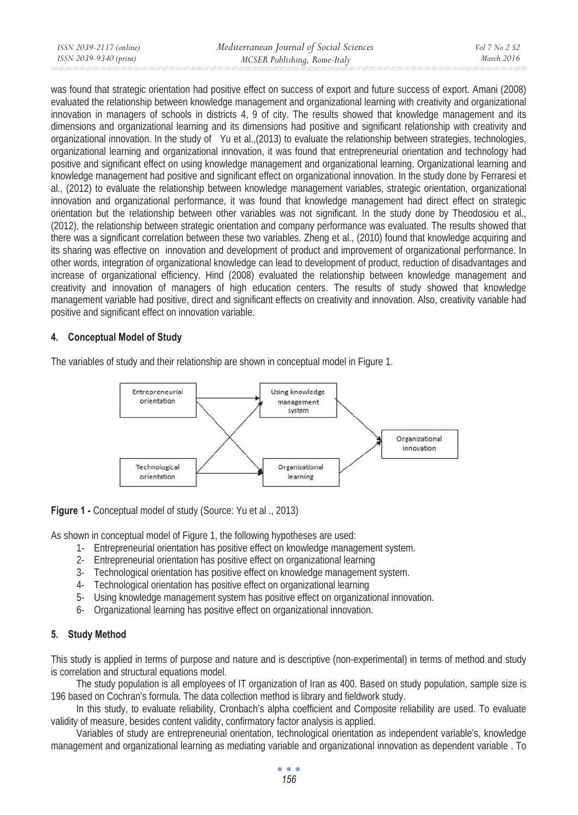| ISSN 2039-2117 (online) | Mediterranean Journal of Social Sciences | Vol 7 No 2 S2 |
|-------------------------|------------------------------------------|---------------|
| ISSN 2039-9340 (print)  | MCSER Publishing, Rome-Italy             | March 2016    |
|                         |                                          |               |

was found that strategic orientation had positive effect on success of export and future success of export. Amani (2008) evaluated the relationship between knowledge management and organizational learning with creativity and organizational innovation in managers of schools in districts 4, 9 of city. The results showed that knowledge management and its dimensions and organizational learning and its dimensions had positive and significant relationship with creativity and organizational innovation. In the study of Yu et al.,(2013) to evaluate the relationship between strategies, technologies, organizational learning and organizational innovation, it was found that entrepreneurial orientation and technology had positive and significant effect on using knowledge management and organizational learning. Organizational learning and knowledge management had positive and significant effect on organizational innovation. In the study done by Ferraresi et al., (2012) to evaluate the relationship between knowledge management variables, strategic orientation, organizational innovation and organizational performance, it was found that knowledge management had direct effect on strategic orientation but the relationship between other variables was not significant. In the study done by Theodosiou et al., (2012), the relationship between strategic orientation and company performance was evaluated. The results showed that there was a significant correlation between these two variables. Zheng et al., (2010) found that knowledge acquiring and its sharing was effective on innovation and development of product and improvement of organizational performance. In other words, integration of organizational knowledge can lead to development of product, reduction of disadvantages and increase of organizational efficiency. Hind (2008) evaluated the relationship between knowledge management and creativity and innovation of managers of high education centers. The results of study showed that knowledge management variable had positive, direct and significant effects on creativity and innovation. Also, creativity variable had positive and significant effect on innovation variable.

# **4. Conceptual Model of Study**

The variables of study and their relationship are shown in conceptual model in Figure 1.



**Figure 1 -** Conceptual model of study (Source: Yu et al ., 2013)

As shown in conceptual model of Figure 1, the following hypotheses are used:

- 1- Entrepreneurial orientation has positive effect on knowledge management system.
- 2- Entrepreneurial orientation has positive effect on organizational learning
- 3- Technological orientation has positive effect on knowledge management system.
- 4- Technological orientation has positive effect on organizational learning
- 5- Using knowledge management system has positive effect on organizational innovation.
- 6- Organizational learning has positive effect on organizational innovation.

# **5. Study Method**

This study is applied in terms of purpose and nature and is descriptive (non-experimental) in terms of method and study is correlation and structural equations model.

The study population is all employees of IT organization of Iran as 400. Based on study population, sample size is 196 based on Cochran's formula. The data collection method is library and fieldwork study.

In this study, to evaluate reliability, Cronbach's alpha coefficient and Composite reliability are used. To evaluate validity of measure, besides content validity, confirmatory factor analysis is applied.

Variables of study are entrepreneurial orientation, technological orientation as independent variable's, knowledge management and organizational learning as mediating variable and organizational innovation as dependent variable . To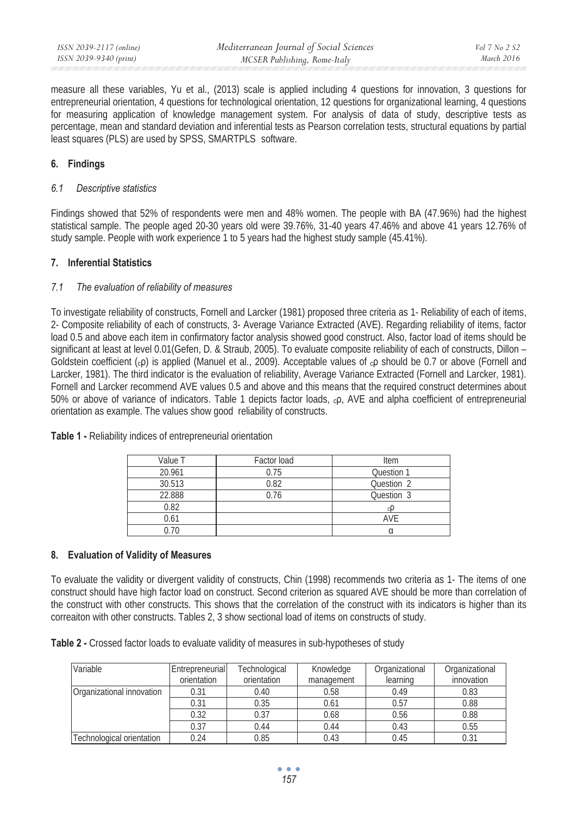measure all these variables, Yu et al., (2013) scale is applied including 4 questions for innovation, 3 questions for entrepreneurial orientation, 4 questions for technological orientation, 12 questions for organizational learning, 4 questions for measuring application of knowledge management system. For analysis of data of study, descriptive tests as percentage, mean and standard deviation and inferential tests as Pearson correlation tests, structural equations by partial least squares (PLS) are used by SPSS, SMARTPLS software.

# **6. Findings**

### *6.1 Descriptive statistics*

Findings showed that 52% of respondents were men and 48% women. The people with BA (47.96%) had the highest statistical sample. The people aged 20-30 years old were 39.76%, 31-40 years 47.46% and above 41 years 12.76% of study sample. People with work experience 1 to 5 years had the highest study sample (45.41%).

#### **7. Inferential Statistics**

### *7.1 The evaluation of reliability of measures*

To investigate reliability of constructs, Fornell and Larcker (1981) proposed three criteria as 1- Reliability of each of items, 2- Composite reliability of each of constructs, 3- Average Variance Extracted (AVE). Regarding reliability of items, factor load 0.5 and above each item in confirmatory factor analysis showed good construct. Also, factor load of items should be significant at least at level 0.01 (Gefen, D. & Straub, 2005). To evaluate composite reliability of each of constructs, Dillon – Goldstein coefficient (cp) is applied (Manuel et al., 2009). Acceptable values of c<sub>p</sub> should be 0.7 or above (Fornell and Larcker, 1981). The third indicator is the evaluation of reliability, Average Variance Extracted (Fornell and Larcker, 1981). Fornell and Larcker recommend AVE values 0.5 and above and this means that the required construct determines about 50% or above of variance of indicators. Table 1 depicts factor loads, cȡ, AVE and alpha coefficient of entrepreneurial orientation as example. The values show good reliability of constructs.

| Value T | Factor load | Item       |
|---------|-------------|------------|
| 20.961  | 0.75        | Question 1 |
| 30.513  | 0.82        | Question 2 |
| 22.888  | 0.76        | Question 3 |
| 0.82    |             |            |
| 0.61    |             | AVE        |
| ነ 7በ    |             |            |

**Table 1 -** Reliability indices of entrepreneurial orientation

# **8. Evaluation of Validity of Measures**

To evaluate the validity or divergent validity of constructs, Chin (1998) recommends two criteria as 1- The items of one construct should have high factor load on construct. Second criterion as squared AVE should be more than correlation of the construct with other constructs. This shows that the correlation of the construct with its indicators is higher than its correaiton with other constructs. Tables 2, 3 show sectional load of items on constructs of study.

| Table 2 - Crossed factor loads to evaluate validity of measures in sub-hypotheses of study |  |
|--------------------------------------------------------------------------------------------|--|
|--------------------------------------------------------------------------------------------|--|

| Variable                  | Entrepreneurial | Technological | Knowledge  | Organizational | Organizational |
|---------------------------|-----------------|---------------|------------|----------------|----------------|
|                           | orientation     | orientation   | management | learning       | innovation     |
| Organizational innovation | 0.31            | 0.40          | 0.58       | 0.49           | 0.83           |
|                           | 0.31            | 0.35          | 0.61       | 0.57           | 0.88           |
|                           | 0.32            | 0.37          | 0.68       | 0.56           | 0.88           |
|                           | 0.37            | 0.44          | 0.44       | 0.43           | 0.55           |
| Technological orientation | 0.24            | 0.85          | 0.43       | 0.45           | 0.31           |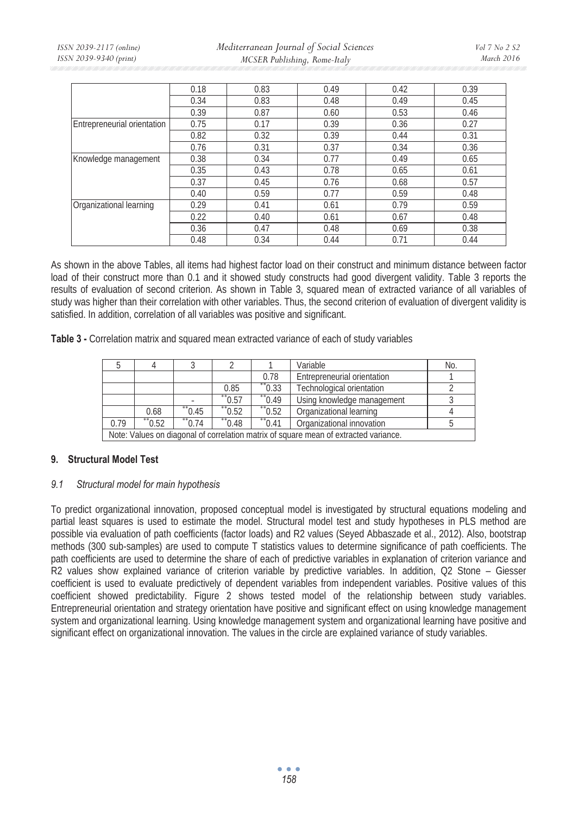*Mediterranean Journal of Social Sciences MCSER Publishing, Rome-Italy* 

|                             | 0.18 | 0.83 | 0.49 | 0.42 | 0.39 |
|-----------------------------|------|------|------|------|------|
|                             | 0.34 | 0.83 | 0.48 | 0.49 | 0.45 |
|                             | 0.39 | 0.87 | 0.60 | 0.53 | 0.46 |
| Entrepreneurial orientation | 0.75 | 0.17 | 0.39 | 0.36 | 0.27 |
|                             | 0.82 | 0.32 | 0.39 | 0.44 | 0.31 |
|                             | 0.76 | 0.31 | 0.37 | 0.34 | 0.36 |
| Knowledge management        | 0.38 | 0.34 | 0.77 | 0.49 | 0.65 |
|                             | 0.35 | 0.43 | 0.78 | 0.65 | 0.61 |
|                             | 0.37 | 0.45 | 0.76 | 0.68 | 0.57 |
|                             | 0.40 | 0.59 | 0.77 | 0.59 | 0.48 |
| Organizational learning     | 0.29 | 0.41 | 0.61 | 0.79 | 0.59 |
|                             | 0.22 | 0.40 | 0.61 | 0.67 | 0.48 |
|                             | 0.36 | 0.47 | 0.48 | 0.69 | 0.38 |
|                             | 0.48 | 0.34 | 0.44 | 0.71 | 0.44 |

As shown in the above Tables, all items had highest factor load on their construct and minimum distance between factor load of their construct more than 0.1 and it showed study constructs had good divergent validity. Table 3 reports the results of evaluation of second criterion. As shown in Table 3, squared mean of extracted variance of all variables of study was higher than their correlation with other variables. Thus, the second criterion of evaluation of divergent validity is satisfied. In addition, correlation of all variables was positive and significant.

**Table 3 -** Correlation matrix and squared mean extracted variance of each of study variables

|                                                                                      |                     |                     |                     |                     | Variable                    | No. |
|--------------------------------------------------------------------------------------|---------------------|---------------------|---------------------|---------------------|-----------------------------|-----|
|                                                                                      |                     |                     |                     | 0.78                | Entrepreneurial orientation |     |
|                                                                                      |                     |                     | 0.85                | $*$ <sup>0.33</sup> | Technological orientation   |     |
|                                                                                      |                     |                     | $*$ <sup>0.57</sup> | $*$ <sup>0.49</sup> | Using knowledge management  |     |
|                                                                                      | 0.68                | $*$ <sup>0.45</sup> | $*$ <sup>0.52</sup> | $*$ <sup>0.52</sup> | Organizational learning     |     |
| 0.79                                                                                 | $*$ <sup>0.52</sup> | $*$ <sup>0.74</sup> | $*$ <sup>0.48</sup> | $*$ <sup>0.41</sup> | Organizational innovation   |     |
| Note: Values on diagonal of correlation matrix of square mean of extracted variance. |                     |                     |                     |                     |                             |     |

### **9. Structural Model Test**

### *9.1 Structural model for main hypothesis*

To predict organizational innovation, proposed conceptual model is investigated by structural equations modeling and partial least squares is used to estimate the model. Structural model test and study hypotheses in PLS method are possible via evaluation of path coefficients (factor loads) and R2 values (Seyed Abbaszade et al., 2012). Also, bootstrap methods (300 sub-samples) are used to compute T statistics values to determine significance of path coefficients. The path coefficients are used to determine the share of each of predictive variables in explanation of criterion variance and R2 values show explained variance of criterion variable by predictive variables. In addition, Q2 Stone – Giesser coefficient is used to evaluate predictively of dependent variables from independent variables. Positive values of this coefficient showed predictability. Figure 2 shows tested model of the relationship between study variables. Entrepreneurial orientation and strategy orientation have positive and significant effect on using knowledge management system and organizational learning. Using knowledge management system and organizational learning have positive and significant effect on organizational innovation. The values in the circle are explained variance of study variables.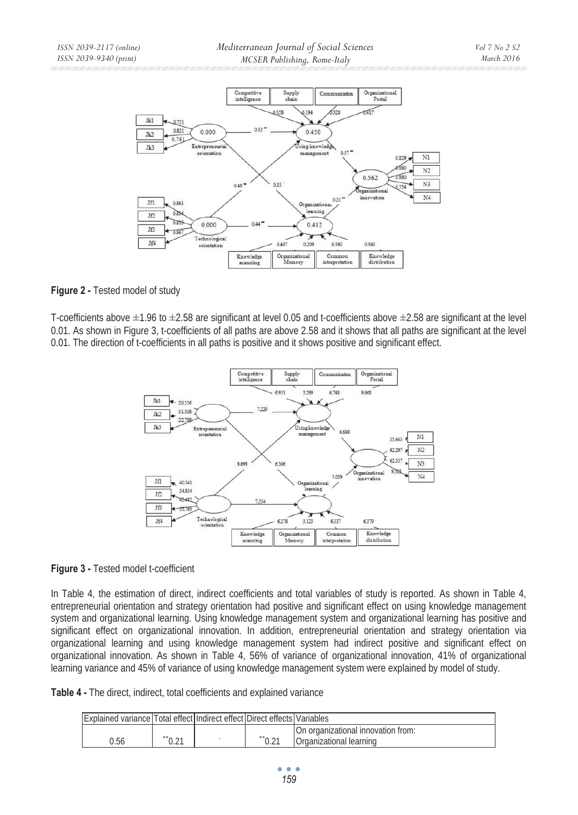

**Figure 2 -** Tested model of study

T-coefficients above  $\pm 1.96$  to  $\pm 2.58$  are significant at level 0.05 and t-coefficients above  $\pm 2.58$  are significant at the level 0.01. As shown in Figure 3, t-coefficients of all paths are above 2.58 and it shows that all paths are significant at the level 0.01. The direction of t-coefficients in all paths is positive and it shows positive and significant effect.



**Figure 3 -** Tested model t-coefficient

In Table 4, the estimation of direct, indirect coefficients and total variables of study is reported. As shown in Table 4, entrepreneurial orientation and strategy orientation had positive and significant effect on using knowledge management system and organizational learning. Using knowledge management system and organizational learning has positive and significant effect on organizational innovation. In addition, entrepreneurial orientation and strategy orientation via organizational learning and using knowledge management system had indirect positive and significant effect on organizational innovation. As shown in Table 4, 56% of variance of organizational innovation, 41% of organizational learning variance and 45% of variance of using knowledge management system were explained by model of study.

|  | <b>Table 4</b> - The direct, indirect, total coefficients and explained variance |
|--|----------------------------------------------------------------------------------|
|--|----------------------------------------------------------------------------------|

| Explained variance Total effect Indirect effect Direct effects Variables |                    |             |                                    |
|--------------------------------------------------------------------------|--------------------|-------------|------------------------------------|
|                                                                          |                    |             | On organizational innovation from: |
| ).56                                                                     | $**$ $0.21$<br>U.Z | $**$ $0.21$ | Organizational learning            |

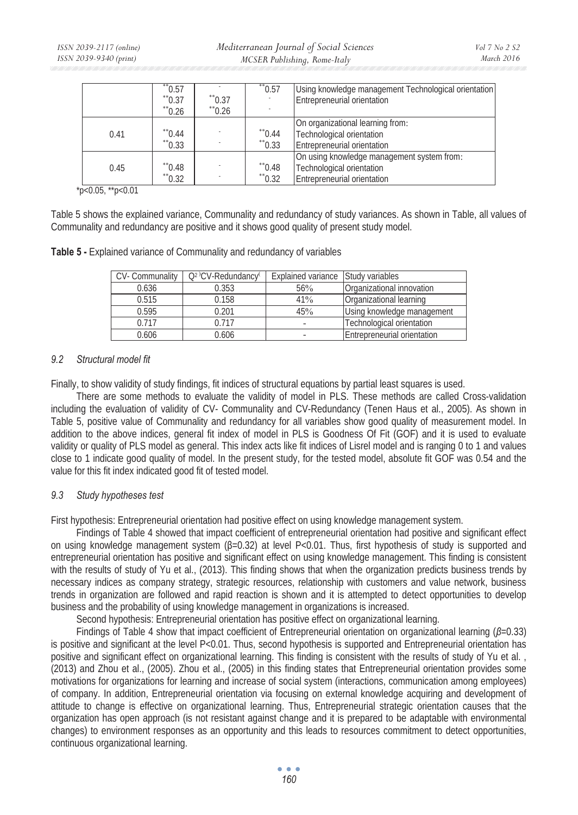|      | $*$ <sup>0.57</sup>    |                        | $*$ <sup>0.57</sup>   | Using knowledge management Technological orientation |
|------|------------------------|------------------------|-----------------------|------------------------------------------------------|
|      | $*$ <sup>**</sup> 0.37 | $*$ <sup>**</sup> 0.37 |                       | Entrepreneurial orientation                          |
|      | $*$ <sup>0.26</sup>    | $*$ <sup>0.26</sup>    |                       |                                                      |
|      |                        |                        |                       | On organizational learning from:                     |
| 0.41 | $*$ <sup>0.44</sup>    |                        | $*$ <sup>0.44</sup>   | Technological orientation                            |
|      | $*$ <sup>*</sup> 0.33  |                        | $*$ <sup>*</sup> 0.33 | Entrepreneurial orientation                          |
|      |                        |                        |                       | On using knowledge management system from:           |
| 0.45 | $*$ <sup>0.48</sup>    |                        | $*^*0.48$             | Technological orientation                            |
|      | $*$ <sup>*</sup> 0.32  |                        | $*$ <sup>*</sup> 0.32 | Entrepreneurial orientation                          |

 $*p<0.05$ ,  $*p<0.01$ 

Table 5 shows the explained variance, Communality and redundancy of study variances. As shown in Table, all values of Communality and redundancy are positive and it shows good quality of present study model.

| Table 5 - Explained variance of Communality and redundancy of variables |  |
|-------------------------------------------------------------------------|--|
|-------------------------------------------------------------------------|--|

| CV- Communality | $Q2$ <sup>O</sup> CV-Redundancy <sup>(</sup> | Explained variance Study variables |                             |
|-----------------|----------------------------------------------|------------------------------------|-----------------------------|
| 0.636           | 0.353                                        | 56%                                | Organizational innovation   |
| 0.515           | 0.158                                        | 41%                                | Organizational learning     |
| 0.595           | 0.201                                        | 45%                                | Using knowledge management  |
| 0.717           | 0.717                                        |                                    | Technological orientation   |
| 0.606           | 0.606                                        |                                    | Entrepreneurial orientation |

# *9.2 Structural model fit*

Finally, to show validity of study findings, fit indices of structural equations by partial least squares is used.

There are some methods to evaluate the validity of model in PLS. These methods are called Cross-validation including the evaluation of validity of CV- Communality and CV-Redundancy (Tenen Haus et al., 2005). As shown in Table 5, positive value of Communality and redundancy for all variables show good quality of measurement model. In addition to the above indices, general fit index of model in PLS is Goodness Of Fit (GOF) and it is used to evaluate validity or quality of PLS model as general. This index acts like fit indices of Lisrel model and is ranging 0 to 1 and values close to 1 indicate good quality of model. In the present study, for the tested model, absolute fit GOF was 0.54 and the value for this fit index indicated good fit of tested model.

### *9.3 Study hypotheses test*

First hypothesis: Entrepreneurial orientation had positive effect on using knowledge management system.

Findings of Table 4 showed that impact coefficient of entrepreneurial orientation had positive and significant effect on using knowledge management system  $(\beta=0.32)$  at level P<0.01. Thus, first hypothesis of study is supported and entrepreneurial orientation has positive and significant effect on using knowledge management. This finding is consistent with the results of study of Yu et al., (2013). This finding shows that when the organization predicts business trends by necessary indices as company strategy, strategic resources, relationship with customers and value network, business trends in organization are followed and rapid reaction is shown and it is attempted to detect opportunities to develop business and the probability of using knowledge management in organizations is increased.

Second hypothesis: Entrepreneurial orientation has positive effect on organizational learning.

Findings of Table 4 show that impact coefficient of Entrepreneurial orientation on organizational learning (*ȕ*=0.33) is positive and significant at the level P<0.01. Thus, second hypothesis is supported and Entrepreneurial orientation has positive and significant effect on organizational learning. This finding is consistent with the results of study of Yu et al. , (2013) and Zhou et al., (2005). Zhou et al., (2005) in this finding states that Entrepreneurial orientation provides some motivations for organizations for learning and increase of social system (interactions, communication among employees) of company. In addition, Entrepreneurial orientation via focusing on external knowledge acquiring and development of attitude to change is effective on organizational learning. Thus, Entrepreneurial strategic orientation causes that the organization has open approach (is not resistant against change and it is prepared to be adaptable with environmental changes) to environment responses as an opportunity and this leads to resources commitment to detect opportunities, continuous organizational learning.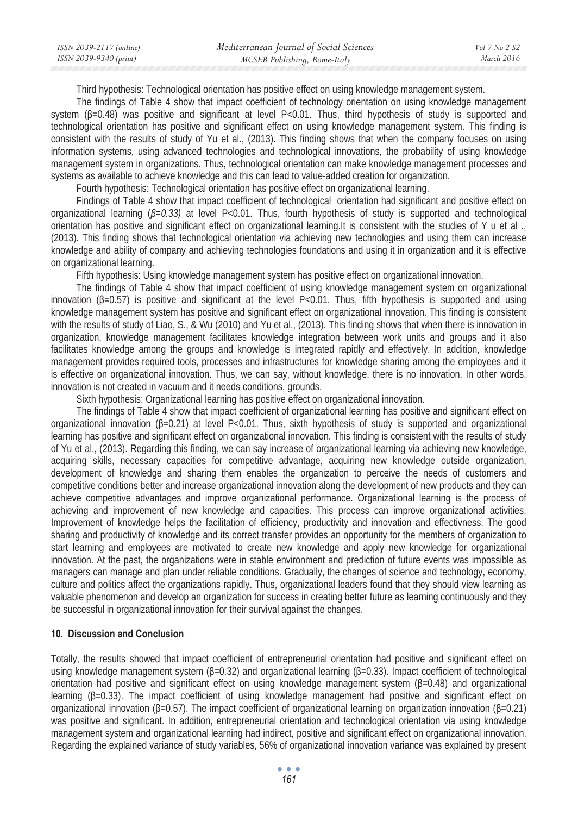Third hypothesis: Technological orientation has positive effect on using knowledge management system.

The findings of Table 4 show that impact coefficient of technology orientation on using knowledge management system  $(\beta = 0.48)$  was positive and significant at level P<0.01. Thus, third hypothesis of study is supported and technological orientation has positive and significant effect on using knowledge management system. This finding is consistent with the results of study of Yu et al., (2013). This finding shows that when the company focuses on using information systems, using advanced technologies and technological innovations, the probability of using knowledge management system in organizations. Thus, technological orientation can make knowledge management processes and systems as available to achieve knowledge and this can lead to value-added creation for organization.

Fourth hypothesis: Technological orientation has positive effect on organizational learning.

Findings of Table 4 show that impact coefficient of technological orientation had significant and positive effect on organizational learning ( $\beta$ =0.33) at level P<0.01. Thus, fourth hypothesis of study is supported and technological orientation has positive and significant effect on organizational learning.It is consistent with the studies of Y u et al ., (2013). This finding shows that technological orientation via achieving new technologies and using them can increase knowledge and ability of company and achieving technologies foundations and using it in organization and it is effective on organizational learning.

Fifth hypothesis: Using knowledge management system has positive effect on organizational innovation.

The findings of Table 4 show that impact coefficient of using knowledge management system on organizational innovation ( $\beta$ =0.57) is positive and significant at the level P<0.01. Thus, fifth hypothesis is supported and using knowledge management system has positive and significant effect on organizational innovation. This finding is consistent with the results of study of Liao, S., & Wu (2010) and Yu et al., (2013). This finding shows that when there is innovation in organization, knowledge management facilitates knowledge integration between work units and groups and it also facilitates knowledge among the groups and knowledge is integrated rapidly and effectively. In addition, knowledge management provides required tools, processes and infrastructures for knowledge sharing among the employees and it is effective on organizational innovation. Thus, we can say, without knowledge, there is no innovation. In other words, innovation is not created in vacuum and it needs conditions, grounds.

Sixth hypothesis: Organizational learning has positive effect on organizational innovation.

The findings of Table 4 show that impact coefficient of organizational learning has positive and significant effect on organizational innovation ( $\beta$ =0.21) at level P<0.01. Thus, sixth hypothesis of study is supported and organizational learning has positive and significant effect on organizational innovation. This finding is consistent with the results of study of Yu et al., (2013). Regarding this finding, we can say increase of organizational learning via achieving new knowledge, acquiring skills, necessary capacities for competitive advantage, acquiring new knowledge outside organization, development of knowledge and sharing them enables the organization to perceive the needs of customers and competitive conditions better and increase organizational innovation along the development of new products and they can achieve competitive advantages and improve organizational performance. Organizational learning is the process of achieving and improvement of new knowledge and capacities. This process can improve organizational activities. Improvement of knowledge helps the facilitation of efficiency, productivity and innovation and effectivness. The good sharing and productivity of knowledge and its correct transfer provides an opportunity for the members of organization to start learning and employees are motivated to create new knowledge and apply new knowledge for organizational innovation. At the past, the organizations were in stable environment and prediction of future events was impossible as managers can manage and plan under reliable conditions. Gradually, the changes of science and technology, economy, culture and politics affect the organizations rapidly. Thus, organizational leaders found that they should view learning as valuable phenomenon and develop an organization for success in creating better future as learning continuously and they be successful in organizational innovation for their survival against the changes.

# **10. Discussion and Conclusion**

Totally, the results showed that impact coefficient of entrepreneurial orientation had positive and significant effect on using knowledge management system  $(\beta=0.32)$  and organizational learning  $(\beta=0.33)$ . Impact coefficient of technological orientation had positive and significant effect on using knowledge management system  $(\beta=0.48)$  and organizational learning  $(\beta=0.33)$ . The impact coefficient of using knowledge management had positive and significant effect on organizational innovation ( $\beta$ =0.57). The impact coefficient of organizational learning on organization innovation ( $\beta$ =0.21) was positive and significant. In addition, entrepreneurial orientation and technological orientation via using knowledge management system and organizational learning had indirect, positive and significant effect on organizational innovation. Regarding the explained variance of study variables, 56% of organizational innovation variance was explained by present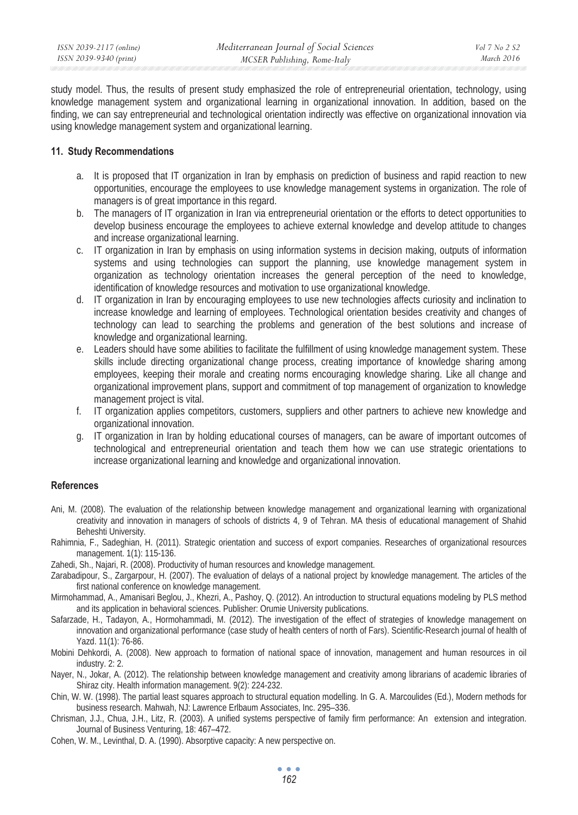| ISSN 2039-2117 (online) | Mediterranean Journal of Social Sciences | Vol 7 No 2 S2 |
|-------------------------|------------------------------------------|---------------|
| ISSN 2039-9340 (print)  | MCSER Publishing, Rome-Italy             | March 2016    |

study model. Thus, the results of present study emphasized the role of entrepreneurial orientation, technology, using knowledge management system and organizational learning in organizational innovation. In addition, based on the finding, we can say entrepreneurial and technological orientation indirectly was effective on organizational innovation via using knowledge management system and organizational learning.

### **11. Study Recommendations**

- a. It is proposed that IT organization in Iran by emphasis on prediction of business and rapid reaction to new opportunities, encourage the employees to use knowledge management systems in organization. The role of managers is of great importance in this regard.
- b. The managers of IT organization in Iran via entrepreneurial orientation or the efforts to detect opportunities to develop business encourage the employees to achieve external knowledge and develop attitude to changes and increase organizational learning.
- c. IT organization in Iran by emphasis on using information systems in decision making, outputs of information systems and using technologies can support the planning, use knowledge management system in organization as technology orientation increases the general perception of the need to knowledge, identification of knowledge resources and motivation to use organizational knowledge.
- d. IT organization in Iran by encouraging employees to use new technologies affects curiosity and inclination to increase knowledge and learning of employees. Technological orientation besides creativity and changes of technology can lead to searching the problems and generation of the best solutions and increase of knowledge and organizational learning.
- e. Leaders should have some abilities to facilitate the fulfillment of using knowledge management system. These skills include directing organizational change process, creating importance of knowledge sharing among employees, keeping their morale and creating norms encouraging knowledge sharing. Like all change and organizational improvement plans, support and commitment of top management of organization to knowledge management project is vital.
- f. IT organization applies competitors, customers, suppliers and other partners to achieve new knowledge and organizational innovation.
- g. IT organization in Iran by holding educational courses of managers, can be aware of important outcomes of technological and entrepreneurial orientation and teach them how we can use strategic orientations to increase organizational learning and knowledge and organizational innovation.

# **References**

- Ani, M. (2008). The evaluation of the relationship between knowledge management and organizational learning with organizational creativity and innovation in managers of schools of districts 4, 9 of Tehran. MA thesis of educational management of Shahid Beheshti University.
- Rahimnia, F., Sadeghian, H. (2011). Strategic orientation and success of export companies. Researches of organizational resources management. 1(1): 115-136.
- Zahedi, Sh., Najari, R. (2008). Productivity of human resources and knowledge management.
- Zarabadipour, S., Zargarpour, H. (2007). The evaluation of delays of a national project by knowledge management. The articles of the first national conference on knowledge management.
- Mirmohammad, A., Amanisari Beglou, J., Khezri, A., Pashoy, Q. (2012). An introduction to structural equations modeling by PLS method and its application in behavioral sciences. Publisher: Orumie University publications.
- Safarzade, H., Tadayon, A., Hormohammadi, M. (2012). The investigation of the effect of strategies of knowledge management on innovation and organizational performance (case study of health centers of north of Fars). Scientific-Research journal of health of Yazd. 11(1): 76-86.
- Mobini Dehkordi, A. (2008). New approach to formation of national space of innovation, management and human resources in oil industry. 2: 2.
- Nayer, N., Jokar, A. (2012). The relationship between knowledge management and creativity among librarians of academic libraries of Shiraz city. Health information management. 9(2): 224-232.
- Chin, W. W. (1998). The partial least squares approach to structural equation modelling. In G. A. Marcoulides (Ed.), Modern methods for business research. Mahwah, NJ: Lawrence Erlbaum Associates, Inc. 295–336.
- Chrisman, J.J., Chua, J.H., Litz, R. (2003). A unified systems perspective of family firm performance: An extension and integration. Journal of Business Venturing, 18: 467–472.
- Cohen, W. M., Levinthal, D. A. (1990). Absorptive capacity: A new perspective on.